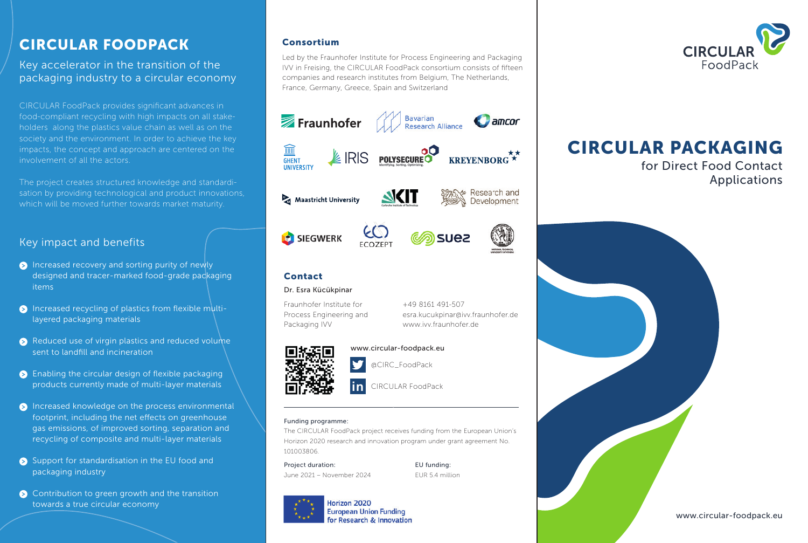## CIRCULAR FOODPACK

Key accelerator in the transition of the packaging industry to a circular economy

CIRCULAR FoodPack provides significant advances in food-compliant recycling with high impacts on all stakeholders along the plastics value chain as well as on the society and the environment. In order to achieve the key impacts, the concept and approach are centered on the involvement of all the actors.

The project creates structured knowledge and standardisation by providing technological and product innovations, which will be moved further towards market maturity.

## Key impact and benefits

- $\triangleright$  Increased recovery and sorting purity of newly designed and tracer-marked food-grade packaging items
- $\triangleright$  Increased recycling of plastics from flexible multilayered packaging materials
- $\bullet$  Reduced use of virgin plastics and reduced volume sent to landfill and incineration
- $\bullet$  Enabling the circular design of flexible packaging products currently made of multi-layer materials
- $\bullet$  Increased knowledge on the process environmental footprint, including the net effects on greenhouse gas emissions, of improved sorting, separation and recycling of composite and multi-layer materials
- Support for standardisation in the EU food and packaging industry
- $\triangleright$  Contribution to green growth and the transition towards a true circular economy

### Consortium

Led by the Fraunhofer Institute for Process Engineering and Packaging IVV in Freising, the CIRCULAR FoodPack consortium consists of fifteen companies and research institutes from Belgium, The Netherlands, France, Germany, Greece, Spain and Switzerland







+49 8161 491-507

www.ivv.fraunhofer.de

esra.kucukpinar@ivv.fraunhofer.de

## Contact

#### Dr. Esra Kücükpinar

Fraunhofer Institute for Process Engineering and Packaging IVV



www.circular-foodpack.eu

@CIRC\_FoodPack

CIRCULAR FoodPack **in**

#### Funding programme:

The CIRCULAR FoodPack project receives funding from the European Union's Horizon 2020 research and innovation program under grant agreement No. 101003806.

Project duration: EU funding: June 2021 – November 2024 EUR 5.4 million



**European Union Funding For Research & Innovation** 



# CIRCULAR PACKAGING

for Direct Food Contact Applications